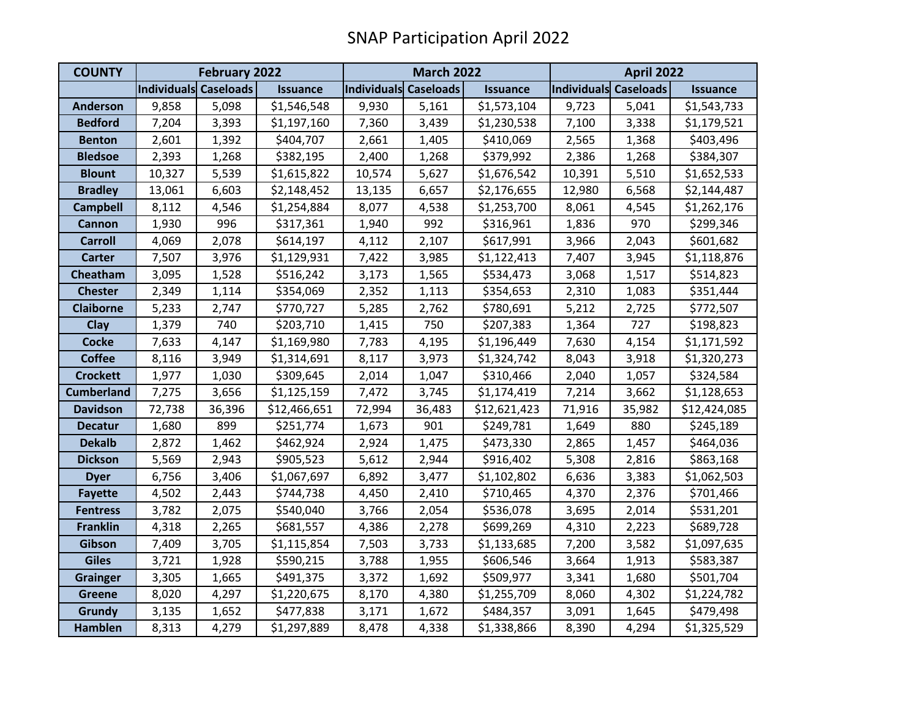| <b>COUNTY</b>     | <b>February 2022</b>  |        |                 | <b>March 2022</b>     |        |                 | <b>April 2022</b>     |        |                 |
|-------------------|-----------------------|--------|-----------------|-----------------------|--------|-----------------|-----------------------|--------|-----------------|
|                   | Individuals Caseloads |        | <b>Issuance</b> | Individuals Caseloads |        | <b>Issuance</b> | Individuals Caseloads |        | <b>Issuance</b> |
| <b>Anderson</b>   | 9,858                 | 5,098  | \$1,546,548     | 9,930                 | 5,161  | \$1,573,104     | 9,723                 | 5,041  | \$1,543,733     |
| <b>Bedford</b>    | 7,204                 | 3,393  | \$1,197,160     | 7,360                 | 3,439  | \$1,230,538     | 7,100                 | 3,338  | \$1,179,521     |
| <b>Benton</b>     | 2,601                 | 1,392  | \$404,707       | 2,661                 | 1,405  | \$410,069       | 2,565                 | 1,368  | \$403,496       |
| <b>Bledsoe</b>    | 2,393                 | 1,268  | \$382,195       | 2,400                 | 1,268  | \$379,992       | 2,386                 | 1,268  | \$384,307       |
| <b>Blount</b>     | 10,327                | 5,539  | \$1,615,822     | 10,574                | 5,627  | \$1,676,542     | 10,391                | 5,510  | \$1,652,533     |
| <b>Bradley</b>    | 13,061                | 6,603  | \$2,148,452     | 13,135                | 6,657  | \$2,176,655     | 12,980                | 6,568  | \$2,144,487     |
| <b>Campbell</b>   | 8,112                 | 4,546  | \$1,254,884     | 8,077                 | 4,538  | \$1,253,700     | 8,061                 | 4,545  | \$1,262,176     |
| <b>Cannon</b>     | 1,930                 | 996    | \$317,361       | 1,940                 | 992    | \$316,961       | 1,836                 | 970    | \$299,346       |
| <b>Carroll</b>    | 4,069                 | 2,078  | \$614,197       | 4,112                 | 2,107  | \$617,991       | 3,966                 | 2,043  | \$601,682       |
| <b>Carter</b>     | 7,507                 | 3,976  | \$1,129,931     | 7,422                 | 3,985  | \$1,122,413     | 7,407                 | 3,945  | \$1,118,876     |
| Cheatham          | 3,095                 | 1,528  | \$516,242       | 3,173                 | 1,565  | \$534,473       | 3,068                 | 1,517  | \$514,823       |
| <b>Chester</b>    | 2,349                 | 1,114  | \$354,069       | 2,352                 | 1,113  | \$354,653       | 2,310                 | 1,083  | \$351,444       |
| <b>Claiborne</b>  | 5,233                 | 2,747  | \$770,727       | 5,285                 | 2,762  | \$780,691       | 5,212                 | 2,725  | \$772,507       |
| Clay              | 1,379                 | 740    | \$203,710       | 1,415                 | 750    | \$207,383       | 1,364                 | 727    | \$198,823       |
| <b>Cocke</b>      | 7,633                 | 4,147  | \$1,169,980     | 7,783                 | 4,195  | \$1,196,449     | 7,630                 | 4,154  | \$1,171,592     |
| <b>Coffee</b>     | 8,116                 | 3,949  | \$1,314,691     | 8,117                 | 3,973  | \$1,324,742     | 8,043                 | 3,918  | \$1,320,273     |
| <b>Crockett</b>   | 1,977                 | 1,030  | \$309,645       | 2,014                 | 1,047  | \$310,466       | 2,040                 | 1,057  | \$324,584       |
| <b>Cumberland</b> | 7,275                 | 3,656  | \$1,125,159     | 7,472                 | 3,745  | \$1,174,419     | 7,214                 | 3,662  | \$1,128,653     |
| <b>Davidson</b>   | 72,738                | 36,396 | \$12,466,651    | 72,994                | 36,483 | \$12,621,423    | 71,916                | 35,982 | \$12,424,085    |
| <b>Decatur</b>    | 1,680                 | 899    | \$251,774       | 1,673                 | 901    | \$249,781       | 1,649                 | 880    | \$245,189       |
| <b>Dekalb</b>     | 2,872                 | 1,462  | \$462,924       | 2,924                 | 1,475  | \$473,330       | 2,865                 | 1,457  | \$464,036       |
| <b>Dickson</b>    | 5,569                 | 2,943  | \$905,523       | 5,612                 | 2,944  | \$916,402       | 5,308                 | 2,816  | \$863,168       |
| <b>Dyer</b>       | 6,756                 | 3,406  | \$1,067,697     | 6,892                 | 3,477  | \$1,102,802     | 6,636                 | 3,383  | \$1,062,503     |
| <b>Fayette</b>    | 4,502                 | 2,443  | \$744,738       | 4,450                 | 2,410  | \$710,465       | 4,370                 | 2,376  | \$701,466       |
| <b>Fentress</b>   | 3,782                 | 2,075  | \$540,040       | 3,766                 | 2,054  | \$536,078       | 3,695                 | 2,014  | \$531,201       |
| <b>Franklin</b>   | 4,318                 | 2,265  | \$681,557       | 4,386                 | 2,278  | \$699,269       | 4,310                 | 2,223  | \$689,728       |
| Gibson            | 7,409                 | 3,705  | \$1,115,854     | 7,503                 | 3,733  | \$1,133,685     | 7,200                 | 3,582  | \$1,097,635     |
| <b>Giles</b>      | 3,721                 | 1,928  | \$590,215       | 3,788                 | 1,955  | \$606,546       | 3,664                 | 1,913  | \$583,387       |
| <b>Grainger</b>   | 3,305                 | 1,665  | \$491,375       | 3,372                 | 1,692  | \$509,977       | 3,341                 | 1,680  | \$501,704       |
| <b>Greene</b>     | 8,020                 | 4,297  | \$1,220,675     | 8,170                 | 4,380  | \$1,255,709     | 8,060                 | 4,302  | \$1,224,782     |
| <b>Grundy</b>     | 3,135                 | 1,652  | \$477,838       | 3,171                 | 1,672  | \$484,357       | 3,091                 | 1,645  | \$479,498       |
| <b>Hamblen</b>    | 8,313                 | 4,279  | \$1,297,889     | 8,478                 | 4,338  | \$1,338,866     | 8,390                 | 4,294  | \$1,325,529     |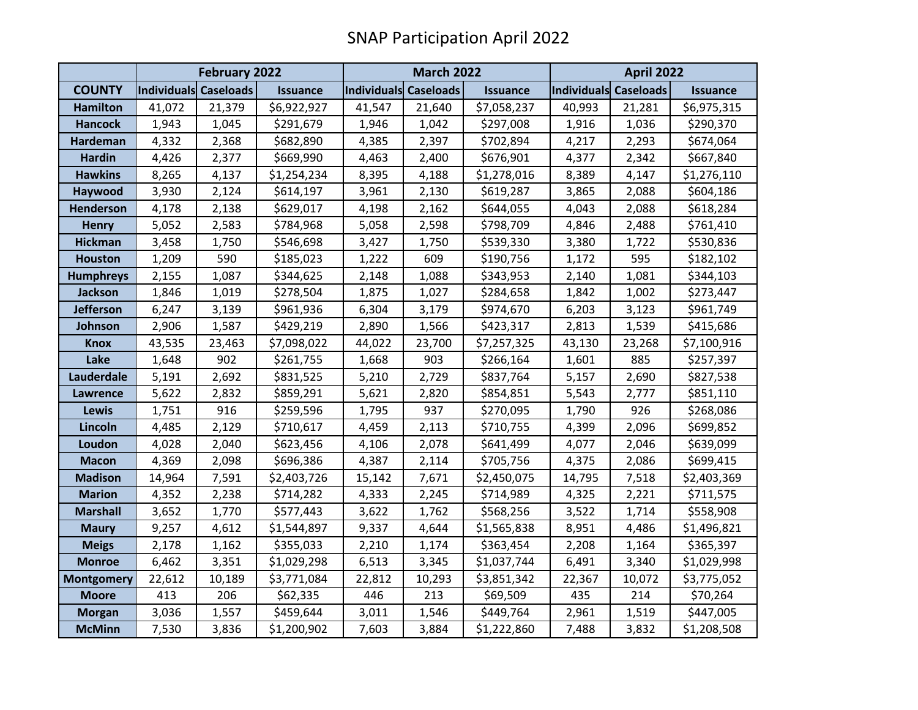|                   | <b>February 2022</b>  |        |                 |                       | <b>March 2022</b> |                 |                       | <b>April 2022</b> |                 |  |
|-------------------|-----------------------|--------|-----------------|-----------------------|-------------------|-----------------|-----------------------|-------------------|-----------------|--|
| <b>COUNTY</b>     | Individuals Caseloads |        | <b>Issuance</b> | Individuals Caseloads |                   | <b>Issuance</b> | Individuals Caseloads |                   | <b>Issuance</b> |  |
| <b>Hamilton</b>   | 41,072                | 21,379 | \$6,922,927     | 41,547                | 21,640            | \$7,058,237     | 40,993                | 21,281            | \$6,975,315     |  |
| <b>Hancock</b>    | 1,943                 | 1,045  | \$291,679       | 1,946                 | 1,042             | \$297,008       | 1,916                 | 1,036             | \$290,370       |  |
| Hardeman          | 4,332                 | 2,368  | \$682,890       | 4,385                 | 2,397             | \$702,894       | 4,217                 | 2,293             | \$674,064       |  |
| <b>Hardin</b>     | 4,426                 | 2,377  | \$669,990       | 4,463                 | 2,400             | \$676,901       | 4,377                 | 2,342             | \$667,840       |  |
| <b>Hawkins</b>    | 8,265                 | 4,137  | \$1,254,234     | 8,395                 | 4,188             | \$1,278,016     | 8,389                 | 4,147             | \$1,276,110     |  |
| Haywood           | 3,930                 | 2,124  | \$614,197       | 3,961                 | 2,130             | \$619,287       | 3,865                 | 2,088             | \$604,186       |  |
| <b>Henderson</b>  | 4,178                 | 2,138  | \$629,017       | 4,198                 | 2,162             | \$644,055       | 4,043                 | 2,088             | \$618,284       |  |
| <b>Henry</b>      | 5,052                 | 2,583  | \$784,968       | 5,058                 | 2,598             | \$798,709       | 4,846                 | 2,488             | \$761,410       |  |
| <b>Hickman</b>    | 3,458                 | 1,750  | \$546,698       | 3,427                 | 1,750             | \$539,330       | 3,380                 | 1,722             | \$530,836       |  |
| <b>Houston</b>    | 1,209                 | 590    | \$185,023       | 1,222                 | 609               | \$190,756       | 1,172                 | 595               | \$182,102       |  |
| <b>Humphreys</b>  | 2,155                 | 1,087  | \$344,625       | 2,148                 | 1,088             | \$343,953       | 2,140                 | 1,081             | \$344,103       |  |
| <b>Jackson</b>    | 1,846                 | 1,019  | \$278,504       | 1,875                 | 1,027             | \$284,658       | 1,842                 | 1,002             | \$273,447       |  |
| <b>Jefferson</b>  | 6,247                 | 3,139  | \$961,936       | 6,304                 | 3,179             | \$974,670       | 6,203                 | 3,123             | \$961,749       |  |
| Johnson           | 2,906                 | 1,587  | \$429,219       | 2,890                 | 1,566             | \$423,317       | 2,813                 | 1,539             | \$415,686       |  |
| <b>Knox</b>       | 43,535                | 23,463 | \$7,098,022     | 44,022                | 23,700            | \$7,257,325     | 43,130                | 23,268            | \$7,100,916     |  |
| Lake              | 1,648                 | 902    | \$261,755       | 1,668                 | 903               | \$266,164       | 1,601                 | 885               | \$257,397       |  |
| Lauderdale        | 5,191                 | 2,692  | \$831,525       | 5,210                 | 2,729             | \$837,764       | 5,157                 | 2,690             | \$827,538       |  |
| <b>Lawrence</b>   | 5,622                 | 2,832  | \$859,291       | 5,621                 | 2,820             | \$854,851       | 5,543                 | 2,777             | \$851,110       |  |
| Lewis             | 1,751                 | 916    | \$259,596       | 1,795                 | 937               | \$270,095       | 1,790                 | 926               | \$268,086       |  |
| Lincoln           | 4,485                 | 2,129  | \$710,617       | 4,459                 | 2,113             | \$710,755       | 4,399                 | 2,096             | \$699,852       |  |
| Loudon            | 4,028                 | 2,040  | \$623,456       | 4,106                 | 2,078             | \$641,499       | 4,077                 | 2,046             | \$639,099       |  |
| <b>Macon</b>      | 4,369                 | 2,098  | \$696,386       | 4,387                 | 2,114             | \$705,756       | 4,375                 | 2,086             | \$699,415       |  |
| <b>Madison</b>    | 14,964                | 7,591  | \$2,403,726     | 15,142                | 7,671             | \$2,450,075     | 14,795                | 7,518             | \$2,403,369     |  |
| <b>Marion</b>     | 4,352                 | 2,238  | \$714,282       | 4,333                 | 2,245             | \$714,989       | 4,325                 | 2,221             | \$711,575       |  |
| <b>Marshall</b>   | 3,652                 | 1,770  | \$577,443       | 3,622                 | 1,762             | \$568,256       | 3,522                 | 1,714             | \$558,908       |  |
| <b>Maury</b>      | 9,257                 | 4,612  | \$1,544,897     | 9,337                 | 4,644             | \$1,565,838     | 8,951                 | 4,486             | \$1,496,821     |  |
| <b>Meigs</b>      | 2,178                 | 1,162  | \$355,033       | 2,210                 | 1,174             | \$363,454       | 2,208                 | 1,164             | \$365,397       |  |
| <b>Monroe</b>     | 6,462                 | 3,351  | \$1,029,298     | 6,513                 | 3,345             | \$1,037,744     | 6,491                 | 3,340             | \$1,029,998     |  |
| <b>Montgomery</b> | 22,612                | 10,189 | \$3,771,084     | 22,812                | 10,293            | \$3,851,342     | 22,367                | 10,072            | \$3,775,052     |  |
| <b>Moore</b>      | 413                   | 206    | \$62,335        | 446                   | 213               | \$69,509        | 435                   | 214               | \$70,264        |  |
| <b>Morgan</b>     | 3,036                 | 1,557  | \$459,644       | 3,011                 | 1,546             | \$449,764       | 2,961                 | 1,519             | \$447,005       |  |
| <b>McMinn</b>     | 7,530                 | 3,836  | \$1,200,902     | 7,603                 | 3,884             | \$1,222,860     | 7,488                 | 3,832             | \$1,208,508     |  |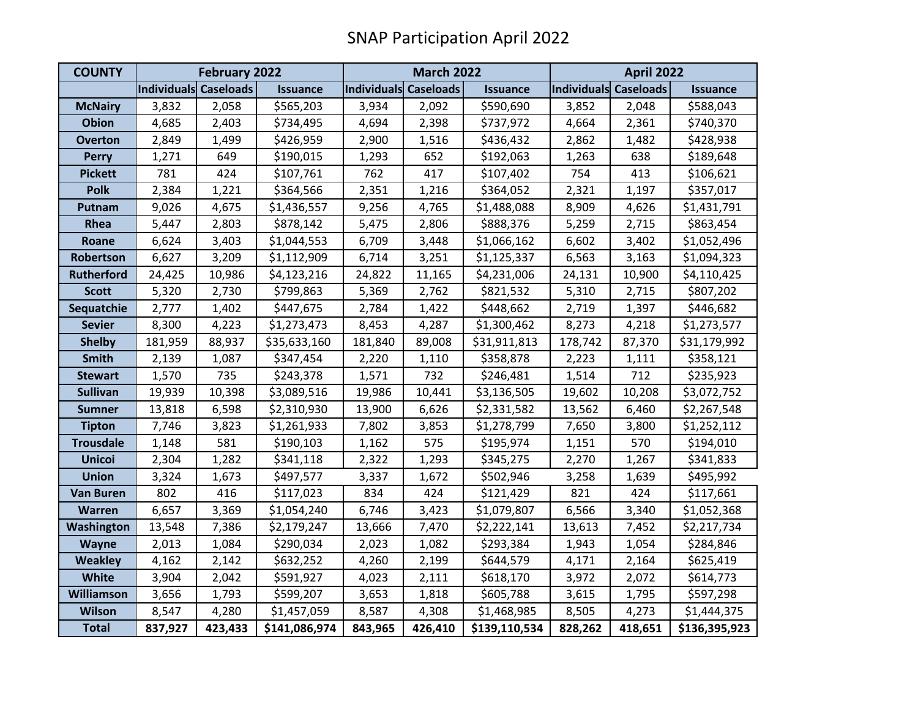| <b>COUNTY</b>     | <b>February 2022</b>  |         |                 | <b>March 2022</b>            |         |                 | <b>April 2022</b>     |         |                 |
|-------------------|-----------------------|---------|-----------------|------------------------------|---------|-----------------|-----------------------|---------|-----------------|
|                   | Individuals Caseloads |         | <b>Issuance</b> | <b>Individuals Caseloads</b> |         | <b>Issuance</b> | Individuals Caseloads |         | <b>Issuance</b> |
| <b>McNairy</b>    | 3,832                 | 2,058   | \$565,203       | 3,934                        | 2,092   | \$590,690       | 3,852                 | 2,048   | \$588,043       |
| <b>Obion</b>      | 4,685                 | 2,403   | \$734,495       | 4,694                        | 2,398   | \$737,972       | 4,664                 | 2,361   | \$740,370       |
| <b>Overton</b>    | 2,849                 | 1,499   | \$426,959       | 2,900                        | 1,516   | \$436,432       | 2,862                 | 1,482   | \$428,938       |
| <b>Perry</b>      | 1,271                 | 649     | \$190,015       | 1,293                        | 652     | \$192,063       | 1,263                 | 638     | \$189,648       |
| <b>Pickett</b>    | 781                   | 424     | \$107,761       | 762                          | 417     | \$107,402       | 754                   | 413     | \$106,621       |
| <b>Polk</b>       | 2,384                 | 1,221   | \$364,566       | 2,351                        | 1,216   | \$364,052       | 2,321                 | 1,197   | \$357,017       |
| Putnam            | 9,026                 | 4,675   | \$1,436,557     | 9,256                        | 4,765   | \$1,488,088     | 8,909                 | 4,626   | \$1,431,791     |
| Rhea              | 5,447                 | 2,803   | \$878,142       | 5,475                        | 2,806   | \$888,376       | 5,259                 | 2,715   | \$863,454       |
| Roane             | 6,624                 | 3,403   | \$1,044,553     | 6,709                        | 3,448   | \$1,066,162     | 6,602                 | 3,402   | \$1,052,496     |
| Robertson         | 6,627                 | 3,209   | \$1,112,909     | 6,714                        | 3,251   | \$1,125,337     | 6,563                 | 3,163   | \$1,094,323     |
| <b>Rutherford</b> | 24,425                | 10,986  | \$4,123,216     | 24,822                       | 11,165  | \$4,231,006     | 24,131                | 10,900  | \$4,110,425     |
| <b>Scott</b>      | 5,320                 | 2,730   | \$799,863       | 5,369                        | 2,762   | \$821,532       | 5,310                 | 2,715   | \$807,202       |
| Sequatchie        | 2,777                 | 1,402   | \$447,675       | 2,784                        | 1,422   | \$448,662       | 2,719                 | 1,397   | \$446,682       |
| <b>Sevier</b>     | 8,300                 | 4,223   | \$1,273,473     | 8,453                        | 4,287   | \$1,300,462     | 8,273                 | 4,218   | \$1,273,577     |
| <b>Shelby</b>     | 181,959               | 88,937  | \$35,633,160    | 181,840                      | 89,008  | \$31,911,813    | 178,742               | 87,370  | \$31,179,992    |
| <b>Smith</b>      | 2,139                 | 1,087   | \$347,454       | 2,220                        | 1,110   | \$358,878       | 2,223                 | 1,111   | \$358,121       |
| <b>Stewart</b>    | 1,570                 | 735     | \$243,378       | 1,571                        | 732     | \$246,481       | 1,514                 | 712     | \$235,923       |
| <b>Sullivan</b>   | 19,939                | 10,398  | \$3,089,516     | 19,986                       | 10,441  | \$3,136,505     | 19,602                | 10,208  | \$3,072,752     |
| <b>Sumner</b>     | 13,818                | 6,598   | \$2,310,930     | 13,900                       | 6,626   | \$2,331,582     | 13,562                | 6,460   | \$2,267,548     |
| <b>Tipton</b>     | 7,746                 | 3,823   | \$1,261,933     | 7,802                        | 3,853   | \$1,278,799     | 7,650                 | 3,800   | \$1,252,112     |
| <b>Trousdale</b>  | 1,148                 | 581     | \$190,103       | 1,162                        | 575     | \$195,974       | 1,151                 | 570     | \$194,010       |
| <b>Unicoi</b>     | 2,304                 | 1,282   | \$341,118       | 2,322                        | 1,293   | \$345,275       | 2,270                 | 1,267   | \$341,833       |
| <b>Union</b>      | 3,324                 | 1,673   | \$497,577       | 3,337                        | 1,672   | \$502,946       | 3,258                 | 1,639   | \$495,992       |
| <b>Van Buren</b>  | 802                   | 416     | \$117,023       | 834                          | 424     | \$121,429       | 821                   | 424     | \$117,661       |
| <b>Warren</b>     | 6,657                 | 3,369   | \$1,054,240     | 6,746                        | 3,423   | \$1,079,807     | 6,566                 | 3,340   | \$1,052,368     |
| Washington        | 13,548                | 7,386   | \$2,179,247     | 13,666                       | 7,470   | \$2,222,141     | 13,613                | 7,452   | \$2,217,734     |
| Wayne             | 2,013                 | 1,084   | \$290,034       | 2,023                        | 1,082   | \$293,384       | 1,943                 | 1,054   | \$284,846       |
| <b>Weakley</b>    | 4,162                 | 2,142   | \$632,252       | 4,260                        | 2,199   | \$644,579       | 4,171                 | 2,164   | \$625,419       |
| White             | 3,904                 | 2,042   | \$591,927       | 4,023                        | 2,111   | \$618,170       | 3,972                 | 2,072   | \$614,773       |
| <b>Williamson</b> | 3,656                 | 1,793   | \$599,207       | 3,653                        | 1,818   | \$605,788       | 3,615                 | 1,795   | \$597,298       |
| <b>Wilson</b>     | 8,547                 | 4,280   | \$1,457,059     | 8,587                        | 4,308   | \$1,468,985     | 8,505                 | 4,273   | \$1,444,375     |
| <b>Total</b>      | 837,927               | 423,433 | \$141,086,974   | 843,965                      | 426,410 | \$139,110,534   | 828,262               | 418,651 | \$136,395,923   |